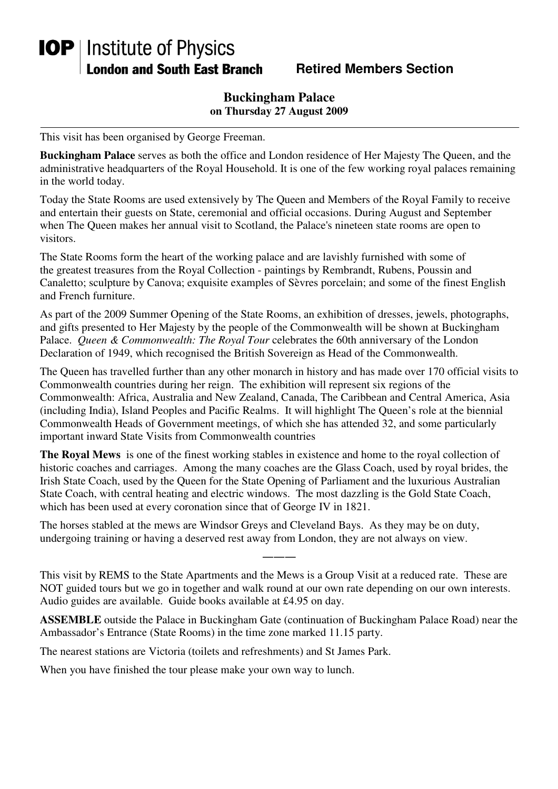## **IOP** | Institute of Physics **London and South East Branch**

**Retired Members Section** 

## **Buckingham Palace on Thursday 27 August 2009**

This visit has been organised by George Freeman.

**Buckingham Palace** serves as both the office and London residence of Her Majesty The Queen, and the administrative headquarters of the Royal Household. It is one of the few working royal palaces remaining in the world today.

Today the State Rooms are used extensively by The Queen and Members of the Royal Family to receive and entertain their guests on State, ceremonial and official occasions. During August and September when The Queen makes her annual visit to Scotland, the Palace's nineteen state rooms are open to visitors.

The State Rooms form the heart of the working palace and are lavishly furnished with some of the greatest treasures from the Royal Collection - paintings by Rembrandt, Rubens, Poussin and Canaletto; sculpture by Canova; exquisite examples of Sèvres porcelain; and some of the finest English and French furniture.

As part of the 2009 Summer Opening of the State Rooms, an exhibition of dresses, jewels, photographs, and gifts presented to Her Majesty by the people of the Commonwealth will be shown at Buckingham Palace. *Queen & Commonwealth: The Royal Tour* celebrates the 60th anniversary of the London Declaration of 1949, which recognised the British Sovereign as Head of the Commonwealth.

The Queen has travelled further than any other monarch in history and has made over 170 official visits to Commonwealth countries during her reign. The exhibition will represent six regions of the Commonwealth: Africa, Australia and New Zealand, Canada, The Caribbean and Central America, Asia (including India), Island Peoples and Pacific Realms. It will highlight The Queen's role at the biennial Commonwealth Heads of Government meetings, of which she has attended 32, and some particularly important inward State Visits from Commonwealth countries

**The Royal Mews** is one of the finest working stables in existence and home to the royal collection of historic coaches and carriages. Among the many coaches are the Glass Coach, used by royal brides, the Irish State Coach, used by the Queen for the State Opening of Parliament and the luxurious Australian State Coach, with central heating and electric windows. The most dazzling is the Gold State Coach, which has been used at every coronation since that of George IV in 1821.

The horses stabled at the mews are Windsor Greys and Cleveland Bays. As they may be on duty, undergoing training or having a deserved rest away from London, they are not always on view.

This visit by REMS to the State Apartments and the Mews is a Group Visit at a reduced rate. These are NOT guided tours but we go in together and walk round at our own rate depending on our own interests. Audio guides are available. Guide books available at £4.95 on day.

―――

**ASSEMBLE** outside the Palace in Buckingham Gate (continuation of Buckingham Palace Road) near the Ambassador's Entrance (State Rooms) in the time zone marked 11.15 party.

The nearest stations are Victoria (toilets and refreshments) and St James Park.

When you have finished the tour please make your own way to lunch.